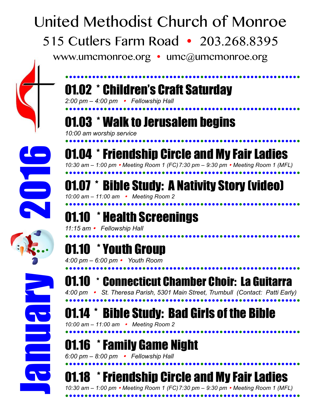# United Methodist Church of Monroe 515 Cutlers Farm Road • 203.268.8395

www.umcmonroe.org  $\cdot$  umc@umcmonroe.org

### !!!!!!!!!!!!!!!!!!!!!!!!!!!!!!!!!!!!!!!!!!!!!!!!!!!!!!!!!!!!! 01.02 \* Children's Craft Saturday

*2:00 pm – 4:00 pm* ! *Fellowship Hall*

# !!!!!!!!!!!!!!!!!!!!!!!!!!!!!!!!!!!!!!!!!!!!!!!!!!!!!!!!!!!!! 01.03 \* Walk to Jerusalem begins

*10:00 am worship service*



#### !!!!!!!!!!!!!!!!!!!!!!!!!!!!!!!!!!!!!!!!!!!!!!!!!!!!!!!!!!!!! 01.04 \* Friendship Circle and My Fair Ladies *10:30 am – 1:00 pm* ! *Meeting Room 1 (FC)7:30 pm – 9:30 pm* ! *Meeting Room 1 (MFL)*

!!!!!!!!!!!!!!!!!!!!!!!!!!!!!!!!!!!!!!!!!!!!!!!!!!!!!!!!!!!!! 01.07 \* Bible Study: A Nativity Story (video) *10:00 am – 11:00 am* ! *Meeting Room 2*

## !!!!!!!!!!!!!!!!!!!!!!!!!!!!!!!!!!!!!!!!!!!!!!!!!!!!!!!!!!!!! 01.10 \* Health Screenings

*11:15 am* ! *Fellowship Hall*

# !!!!!!!!!!!!!!!!!!!!!!!!!!!!!!!!!!!!!!!!!!!!!!!!!!!!!!!!!!!!! 01.10 \* Youth Group

*4:00 pm – 6:00 pm* ! *Youth Room*



!!!!!!!!!!!!!!!!!!!!!!!!!!!!!!!!!!!!!!!!!!!!!!!!!!!!!!!!!!!!! 01.10 \* Connecticut Chamber Choir: La Guitarra *4:00 pm* ! *St. Theresa Parish, 5301 Main Street, Trumbull (Contact: Patti Early)* !!!!!!!!!!!!!!!!!!!!!!!!!!!!!!!!!!!!!!!!!!!!!!!!!!!!!!!!!!!!!

#### 01.14 \* Bible Study: Bad Girls of the Bible *10:00 am – 11:00 am* ! *Meeting Room 2*

!!!!!!!!!!!!!!!!!!!!!!!!!!!!!!!!!!!!!!!!!!!!!!!!!!!!!!!!!!!!! 01.16 \*Family Game Night

*6:00 pm – 8:00 pm* ! *Fellowship Hall*

!!!!!!!!!!!!!!!!!!!!!!!!!!!!!!!!!!!!!!!!!!!!!!!!!!!!!!!!!!!!! 01.18 \*Friendship Circle and My Fair Ladies

*10:30 am – 1:00 pm* ! *Meeting Room 1 (FC)7:30 pm – 9:30 pm* ! *Meeting Room 1 (MFL)* !!!!!!!!!!!!!!!!!!!!!!!!!!!!!!!!!!!!!!!!!!!!!!!!!!!!!!!!!!!!!